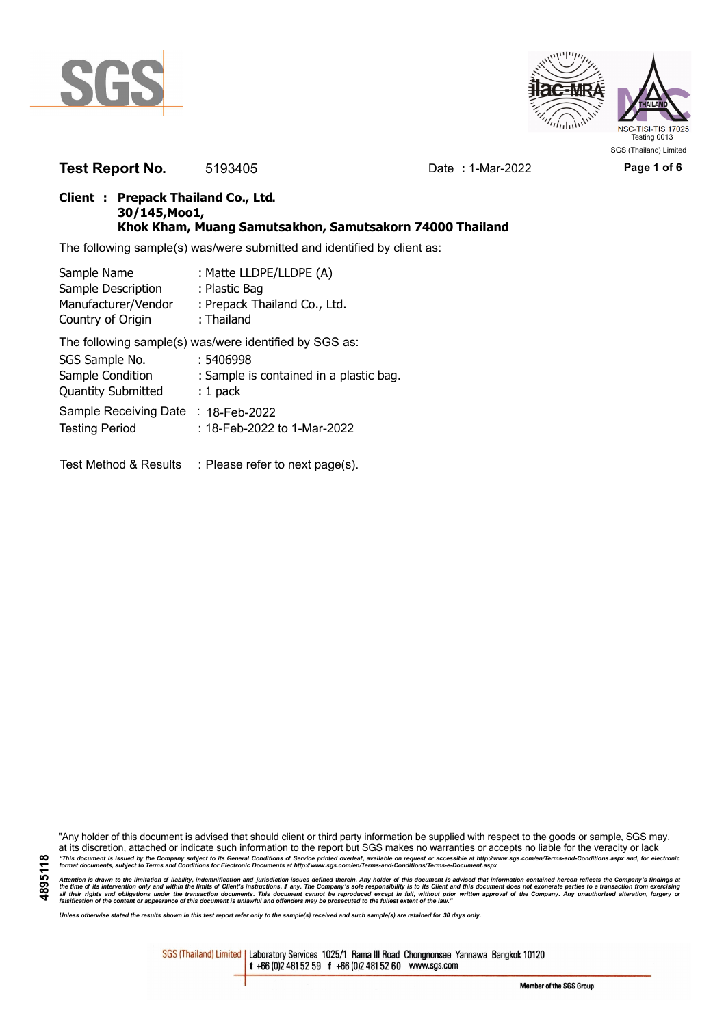



**Test Report No.** 5193405 Date **:** 1-Mar-2022 **Page 1 of 6**

## **Client : Prepack Thailand Co., Ltd. 30/145,Moo1, Khok Kham, Muang Samutsakhon, Samutsakorn 74000 Thailand**

The following sample(s) was/were submitted and identified by client as:

| Sample Name                              | : Matte LLDPE/LLDPE (A)                                |
|------------------------------------------|--------------------------------------------------------|
| Sample Description                       | : Plastic Bag                                          |
| Manufacturer/Vendor<br>Country of Origin | : Prepack Thailand Co., Ltd.<br>: Thailand             |
|                                          | The following sample(s) was/were identified by SGS as: |
| SGS Sample No.                           | : 5406998                                              |
| Sample Condition                         | : Sample is contained in a plastic bag.                |
| <b>Quantity Submitted</b>                | $: 1$ pack                                             |
| Sample Receiving Date                    | $: 18$ -Feb-2022                                       |
| <b>Testing Period</b>                    | : 18-Feb-2022 to 1-Mar-2022                            |
|                                          |                                                        |
|                                          |                                                        |

Test Method & Results : Please refer to next page(s).

"Any holder of this document is advised that should client or third party information be supplied with respect to the goods or sample, SGS may, at its discretion, attached or indicate such information to the report but SGS makes no warranties or accepts no liable for the veracity or lack "This document is issued by the Company subject to its General Conditions of Service printed overleaf, available on request or accessible at http://www.sgs.com/en/Terms-and-Conditions.aspx and, for electronic<br>format docume

**4895118** Attention is drawn to the limitation of liability, indemnification and jurisdiction issues defined therein. Any holder of this document is advised that information contained hereon reflects the Company's findings at<br>all th

*Unless otherwise stated the results shown in this test report refer only to the sample(s) received and such sample(s) are retained for 30 days only.*

SGS (Thailand) Limited | Laboratory Services 1025/1 Rama III Road Chongnonsee Yannawa Bangkok 10120 t +66 (0)2 481 52 59 f +66 (0)2 481 52 60 www.sgs.com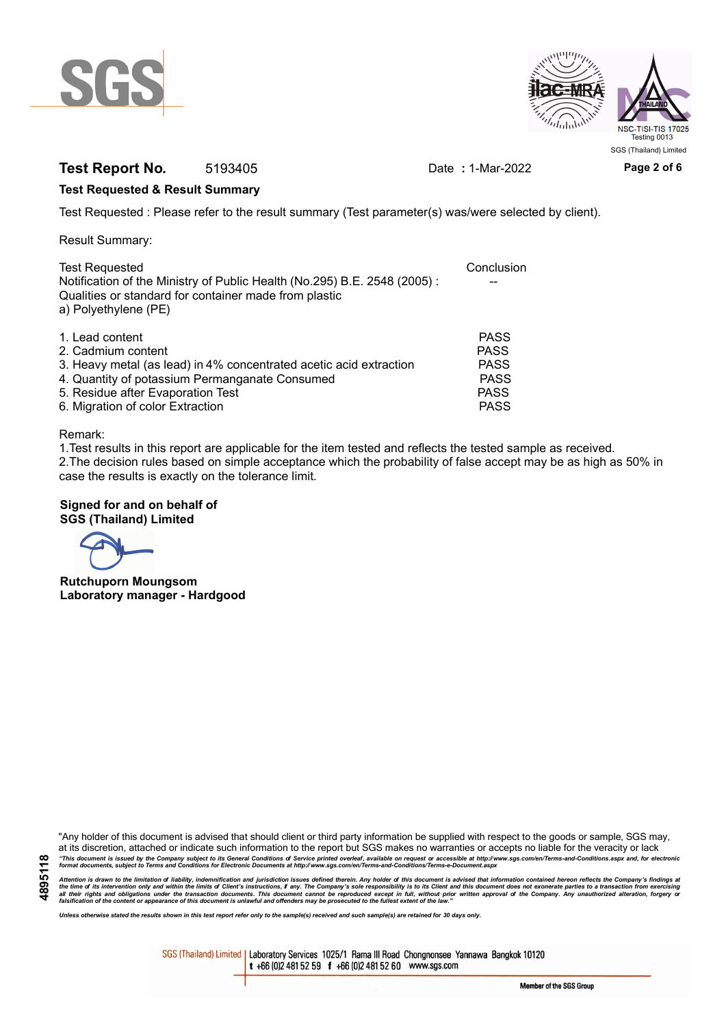



# **Test Report No.** 5193405 Date **:** 1-Mar-2022 **Page 2 of 6**

### **Test Requested & Result Summary**

Test Requested : Please refer to the result summary (Test parameter(s) was/were selected by client).

Result Summary:

| <b>Test Requested</b><br>Notification of the Ministry of Public Health (No.295) B.E. 2548 (2005): | Conclusion  |
|---------------------------------------------------------------------------------------------------|-------------|
| Qualities or standard for container made from plastic<br>a) Polyethylene (PE)                     |             |
| 1. Lead content                                                                                   | <b>PASS</b> |
| 2. Cadmium content                                                                                | <b>PASS</b> |
| 3. Heavy metal (as lead) in 4% concentrated acetic acid extraction                                | <b>PASS</b> |
| 4. Quantity of potassium Permanganate Consumed                                                    | <b>PASS</b> |
| 5. Residue after Evaporation Test                                                                 | <b>PASS</b> |
| 6. Migration of color Extraction                                                                  | <b>PASS</b> |

#### Remark:

1.Test results in this report are applicable for the item tested and reflects the tested sample as received. 2.The decision rules based on simple acceptance which the probability of false accept may be as high as 50% in case the results is exactly on the tolerance limit.

### **Signed for and on behalf of SGS (Thailand) Limited**

**Rutchuporn Moungsom Laboratory manager - Hardgood**

"Any holder of this document is advised that should client or third party information be supplied with respect to the goods or sample, SGS may, at its discretion, attached or indicate such information to the report but SGS makes no warranties or accepts no liable for the veracity or lack "This document is issued by the Company subject to its General Conditions of Service printed overleaf, available on request or accessible at http://www.sgs.com/en/Terms-and-Conditions.aspx and, for electronic<br>format docume

Attention is drawn to the limitation of liability, indemnification and jurisdiction issues defined therein. Any holder of this document is advised that information contained hereon reflects the Company's findings at<br>all th

*Unless otherwise stated the results shown in this test report refer only to the sample(s) received and such sample(s) are retained for 30 days only.*

SGS (Thailand) Limited | Laboratory Services 1025/1 Rama III Road Chongnonsee Yannawa Bangkok 10120 t +66 (0)2 481 52 59 f +66 (0)2 481 52 60 www.sgs.com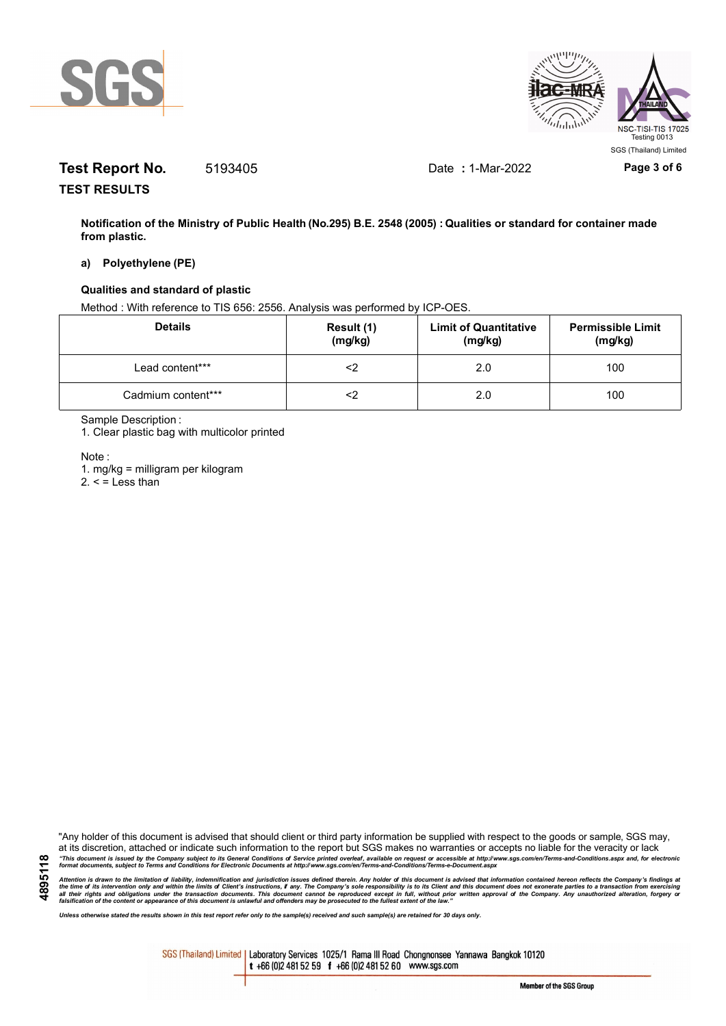



# **Test Report No.** 5193405 Date **:** 1-Mar-2022 **Page 3 of 6**

**TEST RESULTS**

**Notification of the Ministry of Public Health (No.295) B.E. 2548 (2005) : Qualities or standard for container made from plastic.**

#### **a) Polyethylene (PE)**

### **Qualities and standard of plastic**

Method : With reference to TIS 656: 2556. Analysis was performed by ICP-OES.

| <b>Details</b>     | Result (1)<br>(mg/kg) | <b>Limit of Quantitative</b><br>(mg/kg) | <b>Permissible Limit</b><br>(mg/kg) |
|--------------------|-----------------------|-----------------------------------------|-------------------------------------|
| Lead content***    |                       | 2.0                                     | 100                                 |
| Cadmium content*** |                       | 2.0                                     | 100                                 |

Sample Description :

1. Clear plastic bag with multicolor printed

Note :

1. mg/kg = milligram per kilogram

 $2. <$  = Less than

"Any holder of this document is advised that should client or third party information be supplied with respect to the goods or sample, SGS may, at its discretion, attached or indicate such information to the report but SGS makes no warranties or accepts no liable for the veracity or lack "This document is issued by the Company subject to its General Conditions of Service printed overleaf, available on request or accessible at http://www.sgs.com/en/Terms-and-Conditions.aspx and, for electronic<br>format docume

Attention is drawn to the limitation of liability, indemnification and jurisdiction issues defined therein. Any holder of this document is advised that information contained hereon reflects the Company's findings at<br>all th

*Unless otherwise stated the results shown in this test report refer only to the sample(s) received and such sample(s) are retained for 30 days only.*

SGS (Thailand) Limited | Laboratory Services 1025/1 Rama III Road Chongnonsee Yannawa Bangkok 10120 t +66 (0)2 481 52 59 f +66 (0)2 481 52 60 www.sgs.com

Member of the SGS Group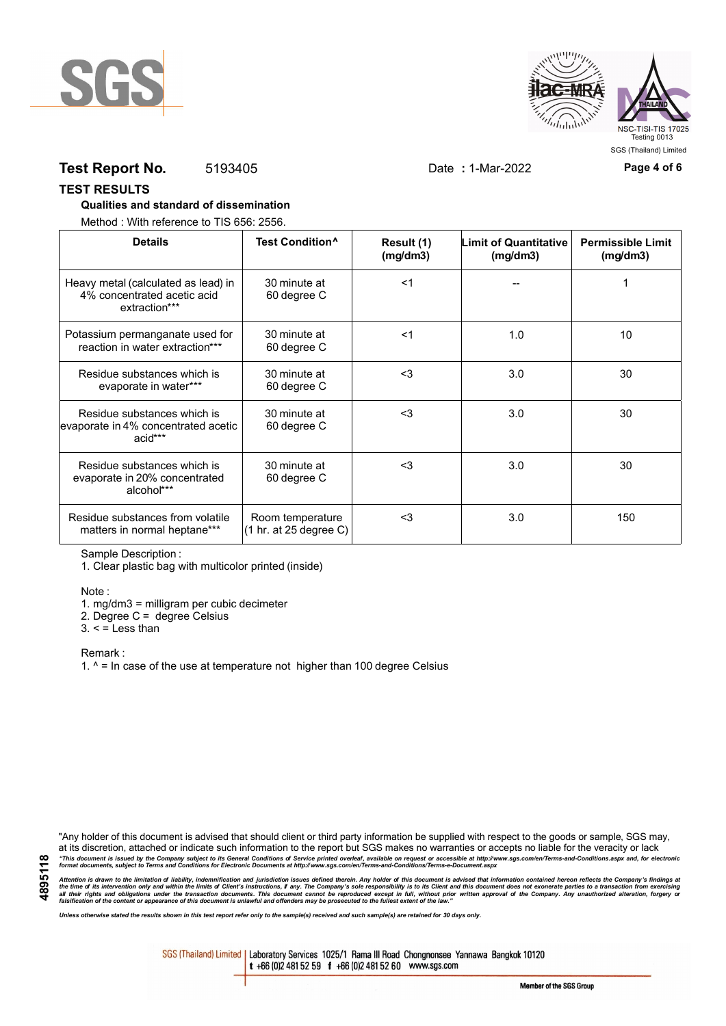



# **Test Report No.** 5193405 Date **:** 1-Mar-2022 **Page 4 of 6**

#### **TEST RESULTS**

### **Qualities and standard of dissemination**

Method : With reference to TIS 656: 2556.

| <b>Details</b>                                                                      | Test Condition <sup>^</sup>                | Result (1)<br>(mg/dm3) | <b>Limit of Quantitative</b><br>(mg/dm3) | <b>Permissible Limit</b><br>(mg/dm3) |
|-------------------------------------------------------------------------------------|--------------------------------------------|------------------------|------------------------------------------|--------------------------------------|
| Heavy metal (calculated as lead) in<br>4% concentrated acetic acid<br>extraction*** | 30 minute at<br>60 degree C                | $<$ 1                  |                                          |                                      |
| Potassium permanganate used for<br>reaction in water extraction***                  | 30 minute at<br>60 degree C                | $<$ 1                  | 1.0                                      | 10                                   |
| Residue substances which is<br>evaporate in water***                                | 30 minute at<br>60 degree C                | $3$                    | 3.0                                      | 30                                   |
| Residue substances which is<br>evaporate in 4% concentrated acetic<br>acid***       | 30 minute at<br>60 degree C                | <3                     | 3.0                                      | 30                                   |
| Residue substances which is<br>evaporate in 20% concentrated<br>alcohol***          | 30 minute at<br>60 degree C                | $3$                    | 3.0                                      | 30                                   |
| Residue substances from volatile<br>matters in normal heptane***                    | Room temperature<br>(1 hr. at 25 degree C) | $3$                    | 3.0                                      | 150                                  |

Sample Description :

1. Clear plastic bag with multicolor printed (inside)

Note :

1. mg/dm3 = milligram per cubic decimeter

2. Degree C = degree Celsius

 $3. <$  = Less than

Remark :

1.  $^{\circ}$  = In case of the use at temperature not higher than 100 degree Celsius

"Any holder of this document is advised that should client or third party information be supplied with respect to the goods or sample, SGS may, at its discretion, attached or indicate such information to the report but SGS makes no warranties or accepts no liable for the veracity or lack "This document is issued by the Company subject to its General Conditions of Service printed overleaf, available on request or accessible at http://www.sgs.com/en/Terms-and-Conditions.aspx and, for electronic<br>format docume

Attention is drawn to the limitation of liability, indemnification and jurisdiction issues defined therein. Any holder of this document is advised that information contained hereon reflects the Company's findings at<br>all th

*Unless otherwise stated the results shown in this test report refer only to the sample(s) received and such sample(s) are retained for 30 days only.*

SGS (Thailand) Limited | Laboratory Services 1025/1 Rama III Road Chongnonsee Yannawa Bangkok 10120 t +66 (0)2 481 52 59 f +66 (0)2 481 52 60 www.sgs.com

Member of the SGS Group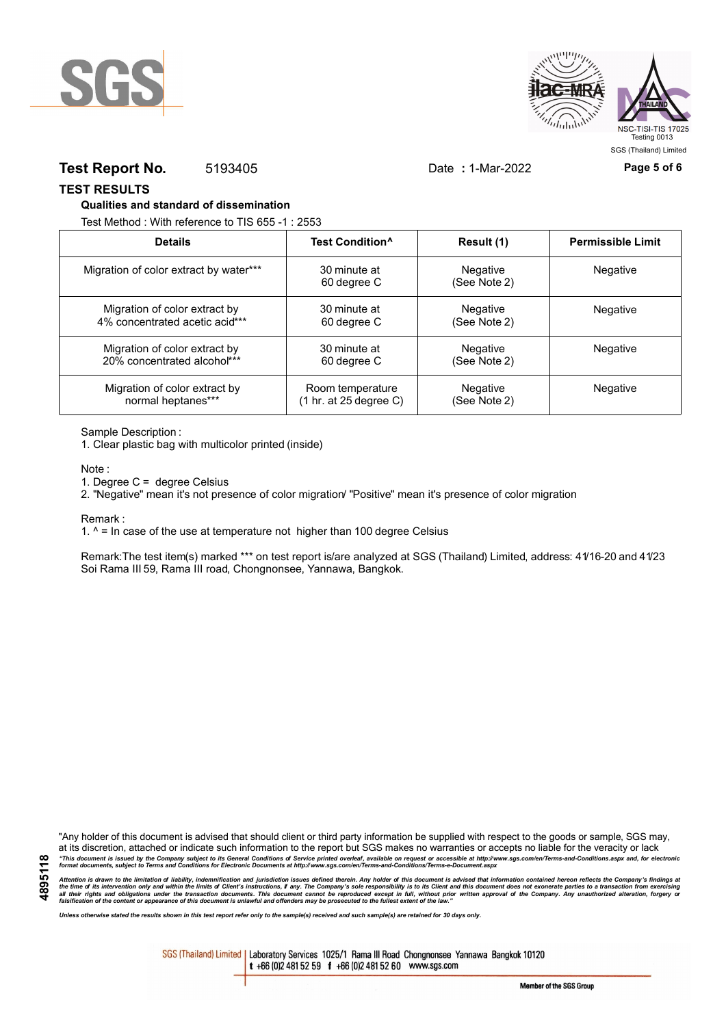



## **Test Report No.** 5193405 Date **:** 1-Mar-2022 **Page 5 of 6**

SGS (Thailand) Limited

**TEST RESULTS**

#### **Qualities and standard of dissemination**

Test Method : With reference to TIS 655 -1 : 2553

| <b>Details</b>                         | Test Condition <sup>^</sup>               | Result (1)               | <b>Permissible Limit</b> |
|----------------------------------------|-------------------------------------------|--------------------------|--------------------------|
| Migration of color extract by water*** | 30 minute at<br>60 degree C               | Negative<br>(See Note 2) | Negative                 |
| Migration of color extract by          | 30 minute at                              | Negative                 | Negative                 |
| 4% concentrated acetic acid***         | 60 degree C                               | (See Note 2)             |                          |
| Migration of color extract by          | 30 minute at                              | Negative                 | Negative                 |
| 20% concentrated alcohol***            | 60 degree C                               | (See Note 2)             |                          |
| Migration of color extract by          | Room temperature                          | Negative                 | Negative                 |
| normal heptanes***                     | $(1 \text{ hr. at } 25 \text{ degree C})$ | (See Note 2)             |                          |

Sample Description :

1. Clear plastic bag with multicolor printed (inside)

Note :

1. Degree C = degree Celsius

2. "Negative" mean it's not presence of color migration/ "Positive" mean it's presence of color migration

Remark :

1.  $^{\circ}$  = In case of the use at temperature not higher than 100 degree Celsius

Remark:The test item(s) marked \*\*\* on test report is/are analyzed at SGS (Thailand) Limited, address: 41/16-20 and 41/23 Soi Rama III 59, Rama III road, Chongnonsee, Yannawa, Bangkok.

**4895118**

"Any holder of this document is advised that should client or third party information be supplied with respect to the goods or sample, SGS may, at its discretion, attached or indicate such information to the report but SGS makes no warranties or accepts no liable for the veracity or lack "This document is issued by the Company subject to its General Conditions of Service printed overleaf, available on request or accessible at http://www.sgs.com/en/Terms-and-Conditions.aspx and, for electronic<br>format docume

Attention is drawn to the limitation of liability, indemnification and jurisdiction issues defined therein. Any holder of this document is advised that information contained hereon reflects the Company's findings at<br>all th

*Unless otherwise stated the results shown in this test report refer only to the sample(s) received and such sample(s) are retained for 30 days only.*

SGS (Thailand) Limited | Laboratory Services 1025/1 Rama III Road Chongnonsee Yannawa Bangkok 10120 t +66 (0)2 481 52 59 f +66 (0)2 481 52 60 www.sgs.com